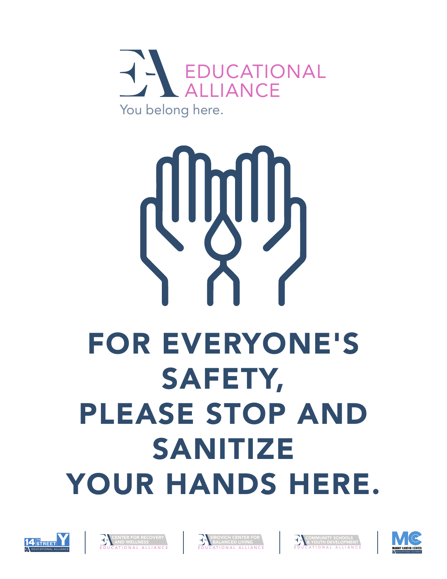

## FOR EVERYONE'S SAFETY, PLEASE STOP AND SANITIZE YOUR HANDS HERE.









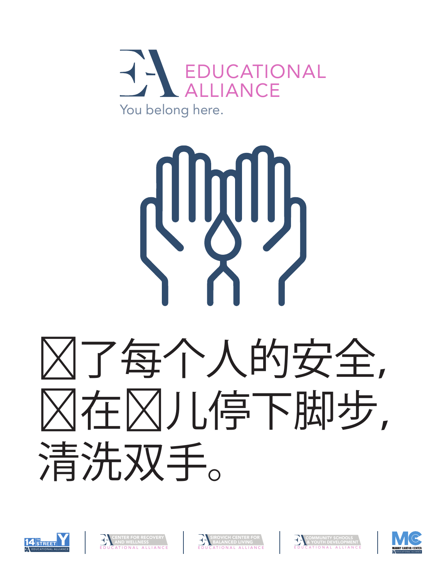